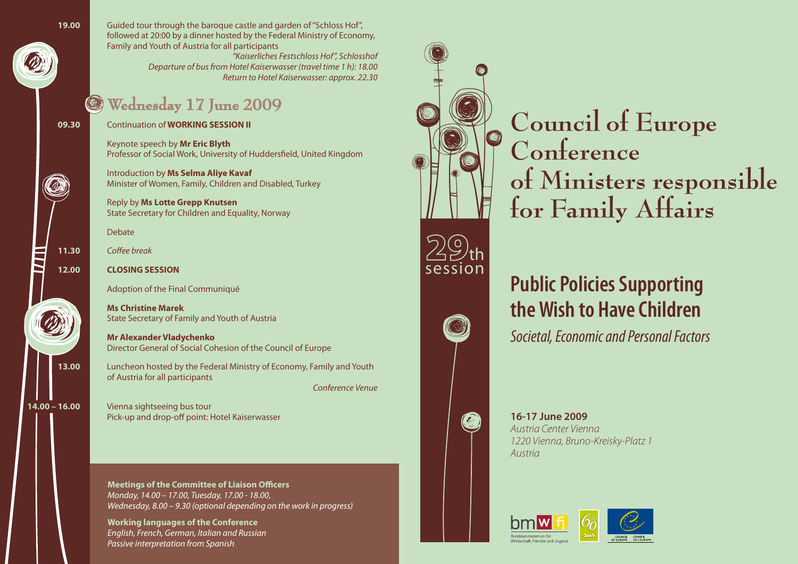

**19.00** Guided tour through the baroque castle and garden of"Schloss Hof", followed at 20:00 by a dinner hosted by the Federal Ministry of Economy, Family and Youth of Austria for all participants

*"Kaiserliches Festschloss Hof", Schlosshof Departure of busfrom Hotel Kaiserwasser (travel time 1 h): 18.00 Return to Hotel Kaiserwasser: approx. 22.30*

## **Wednesday 17 June 2009**

**09.30** Continuation of **WORKING SESSION II**

Keynote speech by **Mr Eric Blyth** Professor of Social Work, University of Huddersfield, United Kingdom

Introduction by **Ms Selma Aliye Kavaf** Minister of Women, Family, Children and Disabled, Turkey

Reply by **Ms Lotte Grepp Knutsen** State Secretary for Children and Equality, Norway

 Debate



Š

**11.30** *Coffee break*

### **12.00 CLOSING SESSION**

Adoption of the Final Communiqué

**Ms Christine Marek** State Secretary of Family and Youth of Austria

**Mr Alexander Vladychenko** Director General of Social Cohesion of the Council of Europe

**13.00** Luncheon hosted by the Federal Ministry of Economy, Family and Youth of Austria for all participants *Conference Venue*

**14.00 – 16.00** Vienna sightseeing bus tour Pick-up and drop-off point: Hotel Kaiserwasser

> **Meetings of the Committee of Liaison Officers**  *Monday, 14.00 – 17.00, Tuesday, 17.00 - 18.00, Wednesday, 8.00 – 9.30 (optional depending on the work in progress)*

**Working languages of the Conference** *English, French, German, Italian and Russian Passive interpretation from Spanish*



**Council of Europe Conference of Ministers responsible for Family Affairs**

## **Public Policies Supporting the Wish to Have Children**

*Societal, Economic and Personal Factors*

*Austria Center Vienna 1220 Vienna, Bruno-Kreisky-Platz 1*